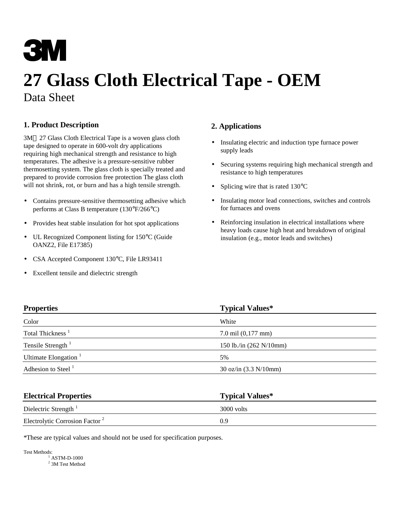# **3M**

## **27 Glass Cloth Electrical Tape - OEM** Data Sheet

### **1. Product Description**

3M™ 27 Glass Cloth Electrical Tape is a woven glass cloth tape designed to operate in 600-volt dry applications requiring high mechanical strength and resistance to high temperatures. The adhesive is a pressure-sensitive rubber thermosetting system. The glass cloth is specially treated and prepared to provide corrosion free protection The glass cloth will not shrink, rot, or burn and has a high tensile strength.

- Contains pressure-sensitive thermosetting adhesive which performs at Class B temperature (130°F/266°C)
- Provides heat stable insulation for hot spot applications
- UL Recognized Component listing for 150°C (Guide OANZ2, File E17385)
- CSA Accepted Component 130°C, File LR93411
- Excellent tensile and dielectric strength

#### **2. Applications**

- Insulating electric and induction type furnace power supply leads
- Securing systems requiring high mechanical strength and resistance to high temperatures
- Splicing wire that is rated 130°C
- Insulating motor lead connections, switches and controls for furnaces and ovens
- Reinforcing insulation in electrical installations where heavy loads cause high heat and breakdown of original insulation (e.g., motor leads and switches)

| <b>Properties</b>            | <b>Typical Values*</b>                           |
|------------------------------|--------------------------------------------------|
| Color                        | White                                            |
| Total Thickness <sup>1</sup> | $7.0$ mil $(0,177$ mm $)$                        |
| Tensile Strength $1$         | 150 lb./in $(262 \text{ N}/10 \text{mm})$        |
| Ultimate Elongation $1$      | 5%                                               |
| Adhesion to Steel $1$        | $30 \text{ oz/in } (3.3 \text{ N}/10 \text{mm})$ |

| <b>Electrical Properties</b>               | <b>Typical Values*</b> |
|--------------------------------------------|------------------------|
| Dielectric Strength                        | 3000 volts             |
| Electrolytic Corrosion Factor <sup>2</sup> | 09                     |

\*These are typical values and should not be used for specification purposes.

Test Methods: 1 ASTM-D-1000

<sup>2</sup> 3M Test Method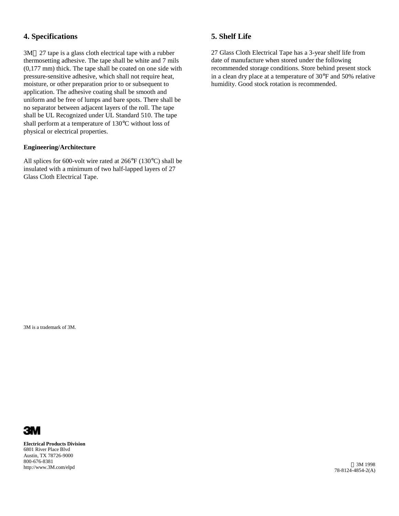#### **4. Specifications**

 $3M<sup>TM</sup> 27$  tape is a glass cloth electrical tape with a rubber thermosetting adhesive. The tape shall be white and 7 mils (0,177 mm) thick. The tape shall be coated on one side with pressure-sensitive adhesive, which shall not require heat, moisture, or other preparation prior to or subsequent to application. The adhesive coating shall be smooth and uniform and be free of lumps and bare spots. There shall be no separator between adjacent layers of the roll. The tape shall be UL Recognized under UL Standard 510. The tape shall perform at a temperature of 130°C without loss of physical or electrical properties.

#### **Engineering/Architecture**

All splices for 600-volt wire rated at 266°F (130°C) shall be insulated with a minimum of two half-lapped layers of 27 Glass Cloth Electrical Tape.

#### **5. Shelf Life**

27 Glass Cloth Electrical Tape has a 3-year shelf life from date of manufacture when stored under the following recommended storage conditions. Store behind present stock in a clean dry place at a temperature of 30°F and 50% relative humidity. Good stock rotation is recommended.

3M is a trademark of 3M.



**Electrical Products Division** 6801 River Place Blvd Austin, TX 78726-9000 800-676-8381 http://www.3M.com/elpd 3M 1998

78-8124-4854-2(A)